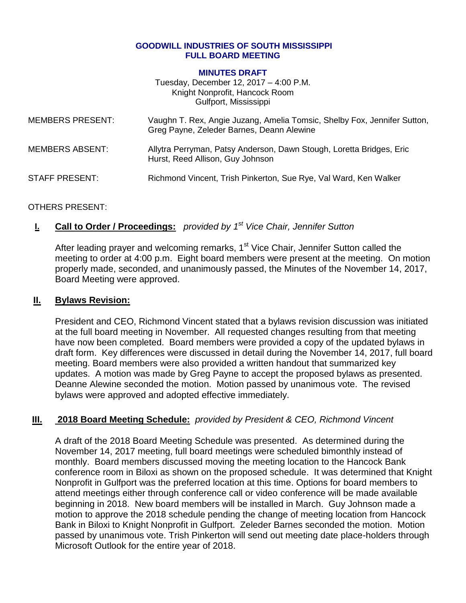#### **GOODWILL INDUSTRIES OF SOUTH MISSISSIPPI FULL BOARD MEETING**

#### **MINUTES DRAFT**

Tuesday, December 12, 2017 – 4:00 P.M. Knight Nonprofit, Hancock Room Gulfport, Mississippi

| <b>MEMBERS PRESENT:</b> | Vaughn T. Rex, Angie Juzang, Amelia Tomsic, Shelby Fox, Jennifer Sutton,<br>Greg Payne, Zeleder Barnes, Deann Alewine |
|-------------------------|-----------------------------------------------------------------------------------------------------------------------|
| MEMBERS ABSENT:         | Allytra Perryman, Patsy Anderson, Dawn Stough, Loretta Bridges, Eric<br>Hurst, Reed Allison, Guy Johnson              |
| <b>STAFF PRESENT:</b>   | Richmond Vincent, Trish Pinkerton, Sue Rye, Val Ward, Ken Walker                                                      |

### OTHERS PRESENT:

## **I. Call to Order / Proceedings:** *provided by 1 st Vice Chair, Jennifer Sutton*

After leading prayer and welcoming remarks, 1<sup>st</sup> Vice Chair, Jennifer Sutton called the meeting to order at 4:00 p.m. Eight board members were present at the meeting. On motion properly made, seconded, and unanimously passed, the Minutes of the November 14, 2017, Board Meeting were approved.

### **II. Bylaws Revision:**

President and CEO, Richmond Vincent stated that a bylaws revision discussion was initiated at the full board meeting in November. All requested changes resulting from that meeting have now been completed. Board members were provided a copy of the updated bylaws in draft form. Key differences were discussed in detail during the November 14, 2017, full board meeting. Board members were also provided a written handout that summarized key updates. A motion was made by Greg Payne to accept the proposed bylaws as presented. Deanne Alewine seconded the motion. Motion passed by unanimous vote. The revised bylaws were approved and adopted effective immediately.

### **III. 2018 Board Meeting Schedule:** *provided by President & CEO, Richmond Vincent*

A draft of the 2018 Board Meeting Schedule was presented. As determined during the November 14, 2017 meeting, full board meetings were scheduled bimonthly instead of monthly. Board members discussed moving the meeting location to the Hancock Bank conference room in Biloxi as shown on the proposed schedule. It was determined that Knight Nonprofit in Gulfport was the preferred location at this time. Options for board members to attend meetings either through conference call or video conference will be made available beginning in 2018. New board members will be installed in March. Guy Johnson made a motion to approve the 2018 schedule pending the change of meeting location from Hancock Bank in Biloxi to Knight Nonprofit in Gulfport. Zeleder Barnes seconded the motion. Motion passed by unanimous vote. Trish Pinkerton will send out meeting date place-holders through Microsoft Outlook for the entire year of 2018.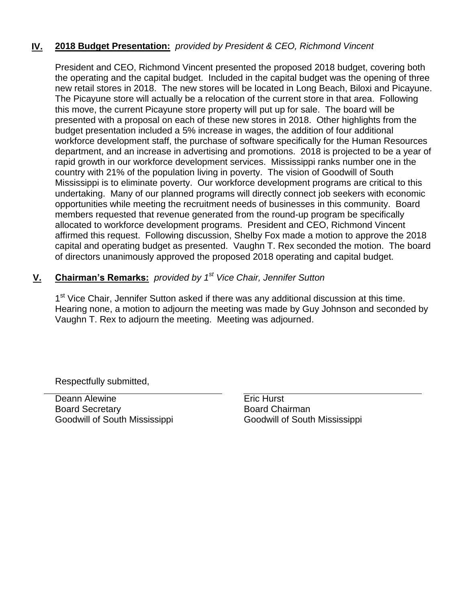## **IV. 2018 Budget Presentation:** *provided by President & CEO, Richmond Vincent*

President and CEO, Richmond Vincent presented the proposed 2018 budget, covering both the operating and the capital budget. Included in the capital budget was the opening of three new retail stores in 2018. The new stores will be located in Long Beach, Biloxi and Picayune. The Picayune store will actually be a relocation of the current store in that area. Following this move, the current Picayune store property will put up for sale. The board will be presented with a proposal on each of these new stores in 2018. Other highlights from the budget presentation included a 5% increase in wages, the addition of four additional workforce development staff, the purchase of software specifically for the Human Resources department, and an increase in advertising and promotions. 2018 is projected to be a year of rapid growth in our workforce development services. Mississippi ranks number one in the country with 21% of the population living in poverty. The vision of Goodwill of South Mississippi is to eliminate poverty. Our workforce development programs are critical to this undertaking. Many of our planned programs will directly connect job seekers with economic opportunities while meeting the recruitment needs of businesses in this community. Board members requested that revenue generated from the round-up program be specifically allocated to workforce development programs. President and CEO, Richmond Vincent affirmed this request. Following discussion, Shelby Fox made a motion to approve the 2018 capital and operating budget as presented. Vaughn T. Rex seconded the motion. The board of directors unanimously approved the proposed 2018 operating and capital budget.

## **V. Chairman's Remarks:** *provided by 1 st Vice Chair, Jennifer Sutton*

1<sup>st</sup> Vice Chair, Jennifer Sutton asked if there was any additional discussion at this time. Hearing none, a motion to adjourn the meeting was made by Guy Johnson and seconded by Vaughn T. Rex to adjourn the meeting. Meeting was adjourned.

Respectfully submitted,

Deann Alewine **Example 20** Eric Hurst Board Secretary Goodwill of South Mississippi

Board Chairman Goodwill of South Mississippi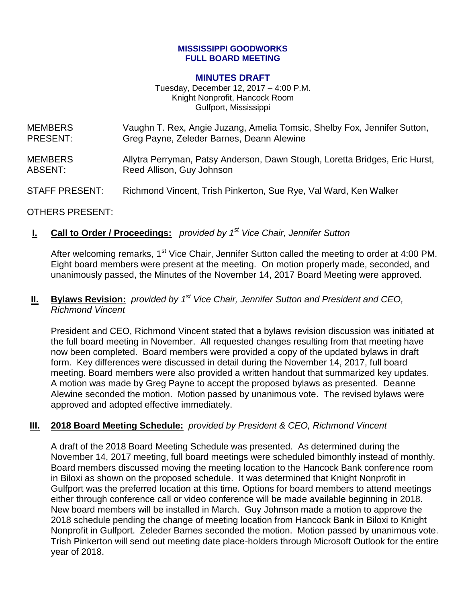#### **MISSISSIPPI GOODWORKS FULL BOARD MEETING**

#### **MINUTES DRAFT**

Tuesday, December 12, 2017 – 4:00 P.M. Knight Nonprofit, Hancock Room Gulfport, Mississippi

| <b>MEMBERS</b>        | Vaughn T. Rex, Angie Juzang, Amelia Tomsic, Shelby Fox, Jennifer Sutton,    |
|-----------------------|-----------------------------------------------------------------------------|
| <b>PRESENT:</b>       | Greg Payne, Zeleder Barnes, Deann Alewine                                   |
| <b>MEMBERS</b>        | Allytra Perryman, Patsy Anderson, Dawn Stough, Loretta Bridges, Eric Hurst, |
| ABSENT:               | Reed Allison, Guy Johnson                                                   |
| <b>STAFF PRESENT:</b> | Richmond Vincent, Trish Pinkerton, Sue Rye, Val Ward, Ken Walker            |

### OTHERS PRESENT:

### **I. Call to Order / Proceedings:** *provided by 1 st Vice Chair, Jennifer Sutton*

After welcoming remarks, 1<sup>st</sup> Vice Chair, Jennifer Sutton called the meeting to order at 4:00 PM. Eight board members were present at the meeting. On motion properly made, seconded, and unanimously passed, the Minutes of the November 14, 2017 Board Meeting were approved.

### **II. Bylaws Revision:** *provided by 1 st Vice Chair, Jennifer Sutton and President and CEO, Richmond Vincent*

President and CEO, Richmond Vincent stated that a bylaws revision discussion was initiated at the full board meeting in November. All requested changes resulting from that meeting have now been completed. Board members were provided a copy of the updated bylaws in draft form. Key differences were discussed in detail during the November 14, 2017, full board meeting. Board members were also provided a written handout that summarized key updates. A motion was made by Greg Payne to accept the proposed bylaws as presented. Deanne Alewine seconded the motion. Motion passed by unanimous vote. The revised bylaws were approved and adopted effective immediately.

### **III. 2018 Board Meeting Schedule:** *provided by President & CEO, Richmond Vincent*

A draft of the 2018 Board Meeting Schedule was presented. As determined during the November 14, 2017 meeting, full board meetings were scheduled bimonthly instead of monthly. Board members discussed moving the meeting location to the Hancock Bank conference room in Biloxi as shown on the proposed schedule. It was determined that Knight Nonprofit in Gulfport was the preferred location at this time. Options for board members to attend meetings either through conference call or video conference will be made available beginning in 2018. New board members will be installed in March. Guy Johnson made a motion to approve the 2018 schedule pending the change of meeting location from Hancock Bank in Biloxi to Knight Nonprofit in Gulfport. Zeleder Barnes seconded the motion. Motion passed by unanimous vote. Trish Pinkerton will send out meeting date place-holders through Microsoft Outlook for the entire year of 2018.